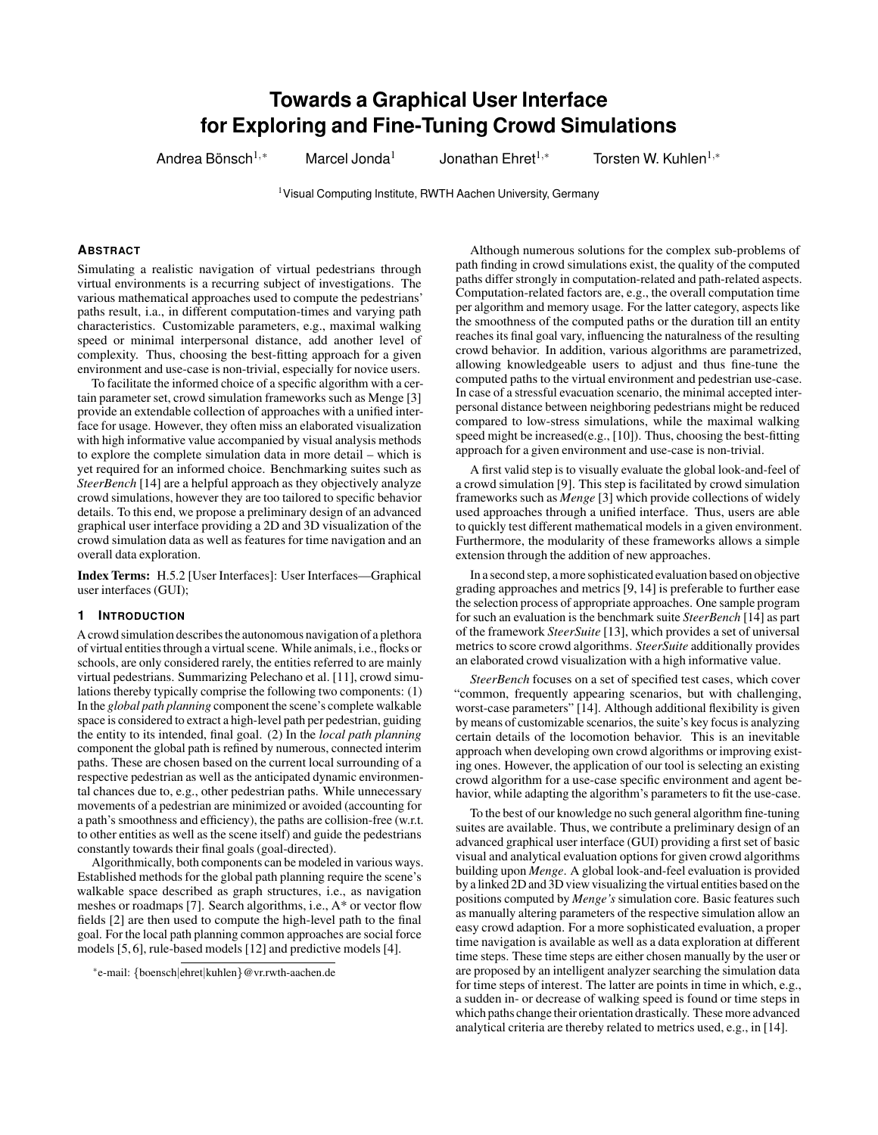# **Towards a Graphical User Interface for Exploring and Fine-Tuning Crowd Simulations**

Andrea Bönsch $1,*$ 

Marcel Jonda<sup>1</sup> Jonathan Ehret<sup>1,\*</sup> Torsten W. Kuhlen<sup>1,\*</sup>

<sup>1</sup> Visual Computing Institute, RWTH Aachen University, Germany

# **ABSTRACT**

Simulating a realistic navigation of virtual pedestrians through virtual environments is a recurring subject of investigations. The various mathematical approaches used to compute the pedestrians' paths result, i.a., in different computation-times and varying path characteristics. Customizable parameters, e.g., maximal walking speed or minimal interpersonal distance, add another level of complexity. Thus, choosing the best-fitting approach for a given environment and use-case is non-trivial, especially for novice users.

To facilitate the informed choice of a specific algorithm with a certain parameter set, crowd simulation frameworks such as Menge [\[3\]](#page-4-0) provide an extendable collection of approaches with a unified interface for usage. However, they often miss an elaborated visualization with high informative value accompanied by visual analysis methods to explore the complete simulation data in more detail – which is yet required for an informed choice. Benchmarking suites such as *SteerBench* [\[14\]](#page-4-1) are a helpful approach as they objectively analyze crowd simulations, however they are too tailored to specific behavior details. To this end, we propose a preliminary design of an advanced graphical user interface providing a 2D and 3D visualization of the crowd simulation data as well as features for time navigation and an overall data exploration.

Index Terms: H.5.2 [User Interfaces]: User Interfaces—Graphical user interfaces (GUI);

## **1 INTRODUCTION**

A crowd simulation describes the autonomous navigation of a plethora of virtual entities through a virtual scene. While animals, i.e., flocks or schools, are only considered rarely, the entities referred to are mainly virtual pedestrians. Summarizing Pelechano et al. [\[11\]](#page-4-2), crowd simulations thereby typically comprise the following two components: (1) In the *global path planning* component the scene's complete walkable space is considered to extract a high-level path per pedestrian, guiding the entity to its intended, final goal. (2) In the *local path planning* component the global path is refined by numerous, connected interim paths. These are chosen based on the current local surrounding of a respective pedestrian as well as the anticipated dynamic environmental chances due to, e.g., other pedestrian paths. While unnecessary movements of a pedestrian are minimized or avoided (accounting for a path's smoothness and efficiency), the paths are collision-free (w.r.t. to other entities as well as the scene itself) and guide the pedestrians constantly towards their final goals (goal-directed).

Algorithmically, both components can be modeled in various ways. Established methods for the global path planning require the scene's walkable space described as graph structures, i.e., as navigation meshes or roadmaps [\[7\]](#page-4-3). Search algorithms, i.e., A\* or vector flow fields [\[2\]](#page-4-4) are then used to compute the high-level path to the final goal. For the local path planning common approaches are social force models [\[5,](#page-4-5) [6\]](#page-4-6), rule-based models [\[12\]](#page-4-7) and predictive models [\[4\]](#page-4-8).

Although numerous solutions for the complex sub-problems of path finding in crowd simulations exist, the quality of the computed paths differ strongly in computation-related and path-related aspects. Computation-related factors are, e.g., the overall computation time per algorithm and memory usage. For the latter category, aspects like the smoothness of the computed paths or the duration till an entity reaches its final goal vary, influencing the naturalness of the resulting crowd behavior. In addition, various algorithms are parametrized, allowing knowledgeable users to adjust and thus fine-tune the computed paths to the virtual environment and pedestrian use-case. In case of a stressful evacuation scenario, the minimal accepted interpersonal distance between neighboring pedestrians might be reduced compared to low-stress simulations, while the maximal walking speed might be increased(e.g., [\[10\]](#page-4-9)). Thus, choosing the best-fitting approach for a given environment and use-case is non-trivial.

A first valid step is to visually evaluate the global look-and-feel of a crowd simulation [\[9\]](#page-4-10). This step is facilitated by crowd simulation frameworks such as *Menge* [\[3\]](#page-4-0) which provide collections of widely used approaches through a unified interface. Thus, users are able to quickly test different mathematical models in a given environment. Furthermore, the modularity of these frameworks allows a simple extension through the addition of new approaches.

In a second step, a more sophisticated evaluation based on objective grading approaches and metrics [\[9,](#page-4-10) [14\]](#page-4-1) is preferable to further ease the selection process of appropriate approaches. One sample program for such an evaluation is the benchmark suite *SteerBench* [\[14\]](#page-4-1) as part of the framework *SteerSuite* [\[13\]](#page-4-11), which provides a set of universal metrics to score crowd algorithms. *SteerSuite* additionally provides an elaborated crowd visualization with a high informative value.

*SteerBench* focuses on a set of specified test cases, which cover "common, frequently appearing scenarios, but with challenging, worst-case parameters" [\[14\]](#page-4-1). Although additional flexibility is given by means of customizable scenarios, the suite's key focus is analyzing certain details of the locomotion behavior. This is an inevitable approach when developing own crowd algorithms or improving existing ones. However, the application of our tool is selecting an existing crowd algorithm for a use-case specific environment and agent behavior, while adapting the algorithm's parameters to fit the use-case.

To the best of our knowledge no such general algorithm fine-tuning suites are available. Thus, we contribute a preliminary design of an advanced graphical user interface (GUI) providing a first set of basic visual and analytical evaluation options for given crowd algorithms building upon *Menge*. A global look-and-feel evaluation is provided by a linked 2D and 3D view visualizing the virtual entities based on the positions computed by *Menge's* simulation core. Basic features such as manually altering parameters of the respective simulation allow an easy crowd adaption. For a more sophisticated evaluation, a proper time navigation is available as well as a data exploration at different time steps. These time steps are either chosen manually by the user or are proposed by an intelligent analyzer searching the simulation data for time steps of interest. The latter are points in time in which, e.g., a sudden in- or decrease of walking speed is found or time steps in which paths change their orientation drastically. These more advanced analytical criteria are thereby related to metrics used, e.g., in [\[14\]](#page-4-1).

<sup>\*</sup>e-mail: {boensch|ehret|kuhlen}@vr.rwth-aachen.de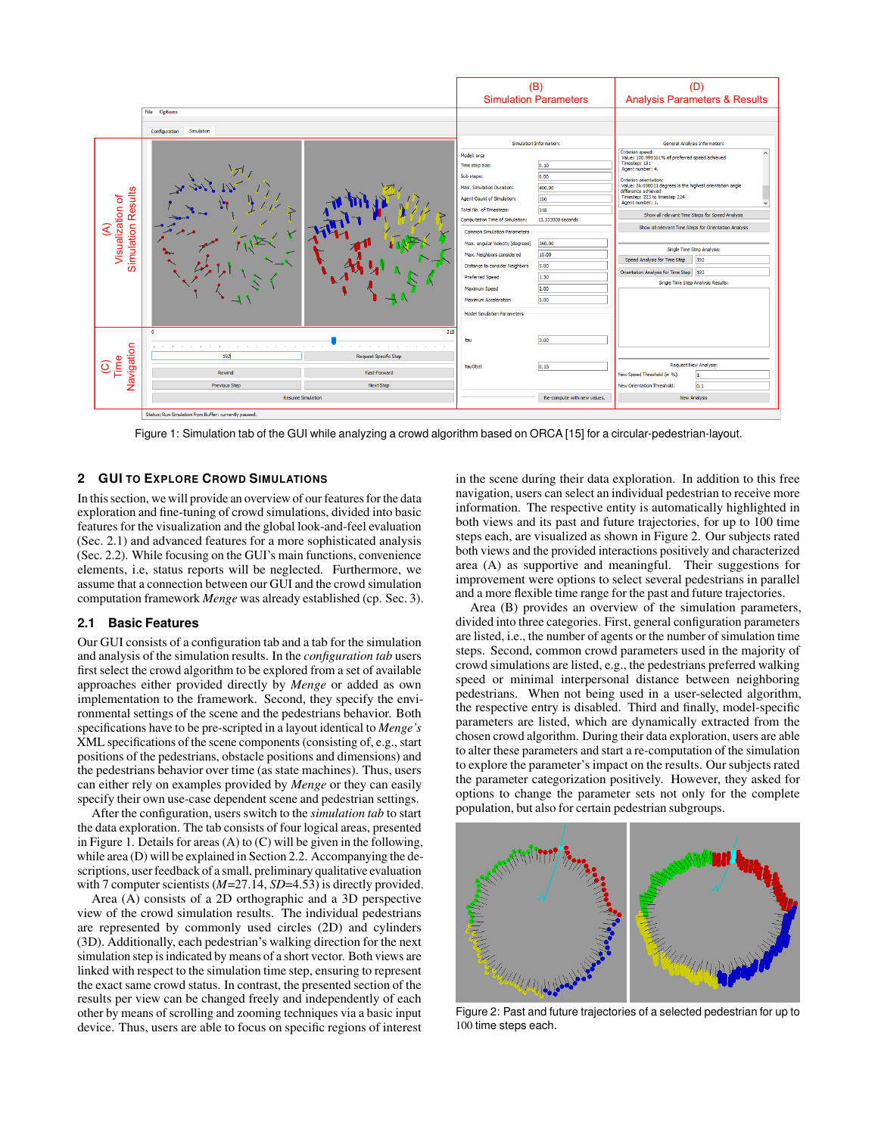

<span id="page-1-1"></span>Figure 1: Simulation tab of the GUI while analyzing a crowd algorithm based on ORCA [\[15\]](#page-4-12) for a circular-pedestrian-layout.

### **2 GUI TO EXPLORE CROWD SIMULATIONS**

In this section, we will provide an overview of our features for the data exploration and fine-tuning of crowd simulations, divided into basic features for the visualization and the global look-and-feel evaluation (Sec. [2.1\)](#page-1-0) and advanced features for a more sophisticated analysis (Sec. [2.2\)](#page-2-0). While focusing on the GUI's main functions, convenience elements, i.e, status reports will be neglected. Furthermore, we assume that a connection between our GUI and the crowd simulation computation framework *Menge* was already established (cp. Sec. [3\)](#page-3-0).

#### <span id="page-1-0"></span>**2.1 Basic Features**

Our GUI consists of a configuration tab and a tab for the simulation and analysis of the simulation results. In the *configuration tab* users first select the crowd algorithm to be explored from a set of available approaches either provided directly by *Menge* or added as own implementation to the framework. Second, they specify the environmental settings of the scene and the pedestrians behavior. Both specifications have to be pre-scripted in a layout identical to *Menge's* XML specifications of the scene components (consisting of, e.g., start positions of the pedestrians, obstacle positions and dimensions) and the pedestrians behavior over time (as state machines). Thus, users can either rely on examples provided by *Menge* or they can easily specify their own use-case dependent scene and pedestrian settings.

After the configuration, users switch to the *simulation tab* to start the data exploration. The tab consists of four logical areas, presented in Figure [1.](#page-1-1) Details for areas (A) to (C) will be given in the following, while area (D) will be explained in Section [2.2.](#page-2-0) Accompanying the descriptions, user feedback of a small, preliminary qualitative evaluation with 7 computer scientists ( $M=27.14$ ,  $SD=4.53$ ) is directly provided.

Area (A) consists of a 2D orthographic and a 3D perspective view of the crowd simulation results. The individual pedestrians are represented by commonly used circles (2D) and cylinders (3D). Additionally, each pedestrian's walking direction for the next simulation step is indicated by means of a short vector. Both views are linked with respect to the simulation time step, ensuring to represent the exact same crowd status. In contrast, the presented section of the results per view can be changed freely and independently of each other by means of scrolling and zooming techniques via a basic input device. Thus, users are able to focus on specific regions of interest in the scene during their data exploration. In addition to this free navigation, users can select an individual pedestrian to receive more information. The respective entity is automatically highlighted in both views and its past and future trajectories, for up to 100 time steps each, are visualized as shown in Figure [2.](#page-1-2) Our subjects rated both views and the provided interactions positively and characterized area (A) as supportive and meaningful. Their suggestions for improvement were options to select several pedestrians in parallel and a more flexible time range for the past and future trajectories.

Area (B) provides an overview of the simulation parameters, divided into three categories. First, general configuration parameters are listed, i.e., the number of agents or the number of simulation time steps. Second, common crowd parameters used in the majority of crowd simulations are listed, e.g., the pedestrians preferred walking speed or minimal interpersonal distance between neighboring pedestrians. When not being used in a user-selected algorithm, the respective entry is disabled. Third and finally, model-specific parameters are listed, which are dynamically extracted from the chosen crowd algorithm. During their data exploration, users are able to alter these parameters and start a re-computation of the simulation to explore the parameter's impact on the results. Our subjects rated the parameter categorization positively. However, they asked for options to change the parameter sets not only for the complete population, but also for certain pedestrian subgroups.

<span id="page-1-2"></span>

Figure 2: Past and future trajectories of a selected pedestrian for up to 100 time steps each.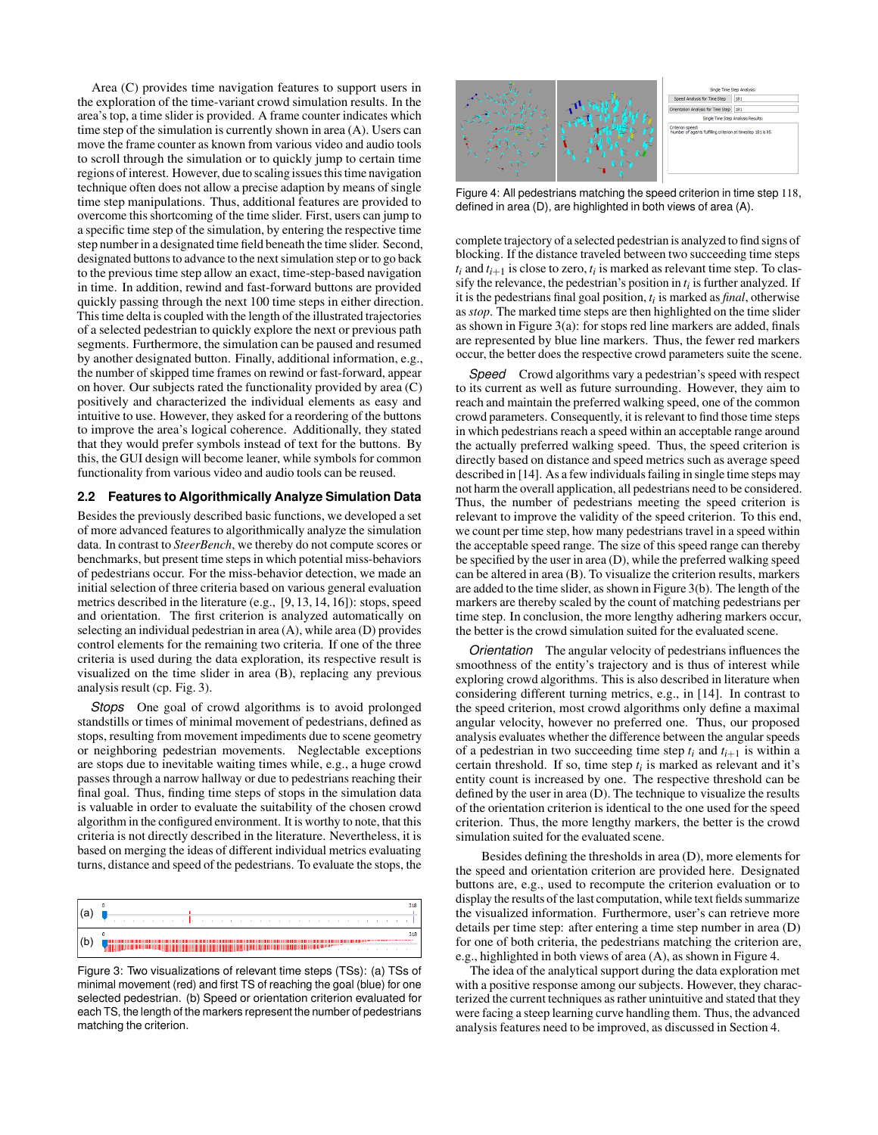Area (C) provides time navigation features to support users in the exploration of the time-variant crowd simulation results. In the area's top, a time slider is provided. A frame counter indicates which time step of the simulation is currently shown in area (A). Users can move the frame counter as known from various video and audio tools to scroll through the simulation or to quickly jump to certain time regions of interest. However, due to scaling issues this time navigation technique often does not allow a precise adaption by means of single time step manipulations. Thus, additional features are provided to overcome this shortcoming of the time slider. First, users can jump to a specific time step of the simulation, by entering the respective time step number in a designated time field beneath the time slider. Second, designated buttons to advance to the next simulation step or to go back to the previous time step allow an exact, time-step-based navigation in time. In addition, rewind and fast-forward buttons are provided quickly passing through the next 100 time steps in either direction. This time delta is coupled with the length of the illustrated trajectories of a selected pedestrian to quickly explore the next or previous path segments. Furthermore, the simulation can be paused and resumed by another designated button. Finally, additional information, e.g., the number of skipped time frames on rewind or fast-forward, appear on hover. Our subjects rated the functionality provided by area (C) positively and characterized the individual elements as easy and intuitive to use. However, they asked for a reordering of the buttons to improve the area's logical coherence. Additionally, they stated that they would prefer symbols instead of text for the buttons. By this, the GUI design will become leaner, while symbols for common functionality from various video and audio tools can be reused.

## <span id="page-2-0"></span>**2.2 Features to Algorithmically Analyze Simulation Data**

Besides the previously described basic functions, we developed a set of more advanced features to algorithmically analyze the simulation data. In contrast to *SteerBench*, we thereby do not compute scores or benchmarks, but present time steps in which potential miss-behaviors of pedestrians occur. For the miss-behavior detection, we made an initial selection of three criteria based on various general evaluation metrics described in the literature (e.g., [\[9,](#page-4-10) [13,](#page-4-11) [14,](#page-4-1) [16\]](#page-4-13)): stops, speed and orientation. The first criterion is analyzed automatically on selecting an individual pedestrian in area (A), while area (D) provides control elements for the remaining two criteria. If one of the three criteria is used during the data exploration, its respective result is visualized on the time slider in area (B), replacing any previous analysis result (cp. Fig. [3\)](#page-2-1).

*Stops* One goal of crowd algorithms is to avoid prolonged standstills or times of minimal movement of pedestrians, defined as stops, resulting from movement impediments due to scene geometry or neighboring pedestrian movements. Neglectable exceptions are stops due to inevitable waiting times while, e.g., a huge crowd passes through a narrow hallway or due to pedestrians reaching their final goal. Thus, finding time steps of stops in the simulation data is valuable in order to evaluate the suitability of the chosen crowd algorithm in the configured environment. It is worthy to note, that this criteria is not directly described in the literature. Nevertheless, it is based on merging the ideas of different individual metrics evaluating turns, distance and speed of the pedestrians. To evaluate the stops, the



<span id="page-2-1"></span>Figure 3: Two visualizations of relevant time steps (TSs): (a) TSs of minimal movement (red) and first TS of reaching the goal (blue) for one selected pedestrian. (b) Speed or orientation criterion evaluated for each TS, the length of the markers represent the number of pedestrians matching the criterion.



<span id="page-2-2"></span>Figure 4: All pedestrians matching the speed criterion in time step 118, defined in area (D), are highlighted in both views of area (A).

complete trajectory of a selected pedestrian is analyzed to find signs of blocking. If the distance traveled between two succeeding time steps  $t_i$  and  $t_{i+1}$  is close to zero,  $t_i$  is marked as relevant time step. To classify the relevance, the pedestrian's position in  $t_i$  is further analyzed. If it is the pedestrians final goal position, *ti* is marked as *final*, otherwise as *stop*. The marked time steps are then highlighted on the time slider as shown in Figure [3\(](#page-2-1)a): for stops red line markers are added, finals are represented by blue line markers. Thus, the fewer red markers occur, the better does the respective crowd parameters suite the scene.

**Speed** Crowd algorithms vary a pedestrian's speed with respect to its current as well as future surrounding. However, they aim to reach and maintain the preferred walking speed, one of the common crowd parameters. Consequently, it is relevant to find those time steps in which pedestrians reach a speed within an acceptable range around the actually preferred walking speed. Thus, the speed criterion is directly based on distance and speed metrics such as average speed described in [\[14\]](#page-4-1). As a few individuals failing in single time steps may not harm the overall application, all pedestrians need to be considered. Thus, the number of pedestrians meeting the speed criterion is relevant to improve the validity of the speed criterion. To this end, we count per time step, how many pedestrians travel in a speed within the acceptable speed range. The size of this speed range can thereby be specified by the user in area (D), while the preferred walking speed can be altered in area (B). To visualize the criterion results, markers are added to the time slider, as shown in Figure [3\(](#page-2-1)b). The length of the markers are thereby scaled by the count of matching pedestrians per time step. In conclusion, the more lengthy adhering markers occur, the better is the crowd simulation suited for the evaluated scene.

*Orientation* The angular velocity of pedestrians influences the smoothness of the entity's trajectory and is thus of interest while exploring crowd algorithms. This is also described in literature when considering different turning metrics, e.g., in [\[14\]](#page-4-1). In contrast to the speed criterion, most crowd algorithms only define a maximal angular velocity, however no preferred one. Thus, our proposed analysis evaluates whether the difference between the angular speeds of a pedestrian in two succeeding time step  $t_i$  and  $t_{i+1}$  is within a certain threshold. If so, time step *ti* is marked as relevant and it's entity count is increased by one. The respective threshold can be defined by the user in area (D). The technique to visualize the results of the orientation criterion is identical to the one used for the speed criterion. Thus, the more lengthy markers, the better is the crowd simulation suited for the evaluated scene.

Besides defining the thresholds in area (D), more elements for the speed and orientation criterion are provided here. Designated buttons are, e.g., used to recompute the criterion evaluation or to display the results of the last computation, while text fields summarize the visualized information. Furthermore, user's can retrieve more details per time step: after entering a time step number in area (D) for one of both criteria, the pedestrians matching the criterion are, e.g., highlighted in both views of area (A), as shown in Figure [4.](#page-2-2)

The idea of the analytical support during the data exploration met with a positive response among our subjects. However, they characterized the current techniques as rather unintuitive and stated that they were facing a steep learning curve handling them. Thus, the advanced analysis features need to be improved, as discussed in Section [4.](#page-3-1)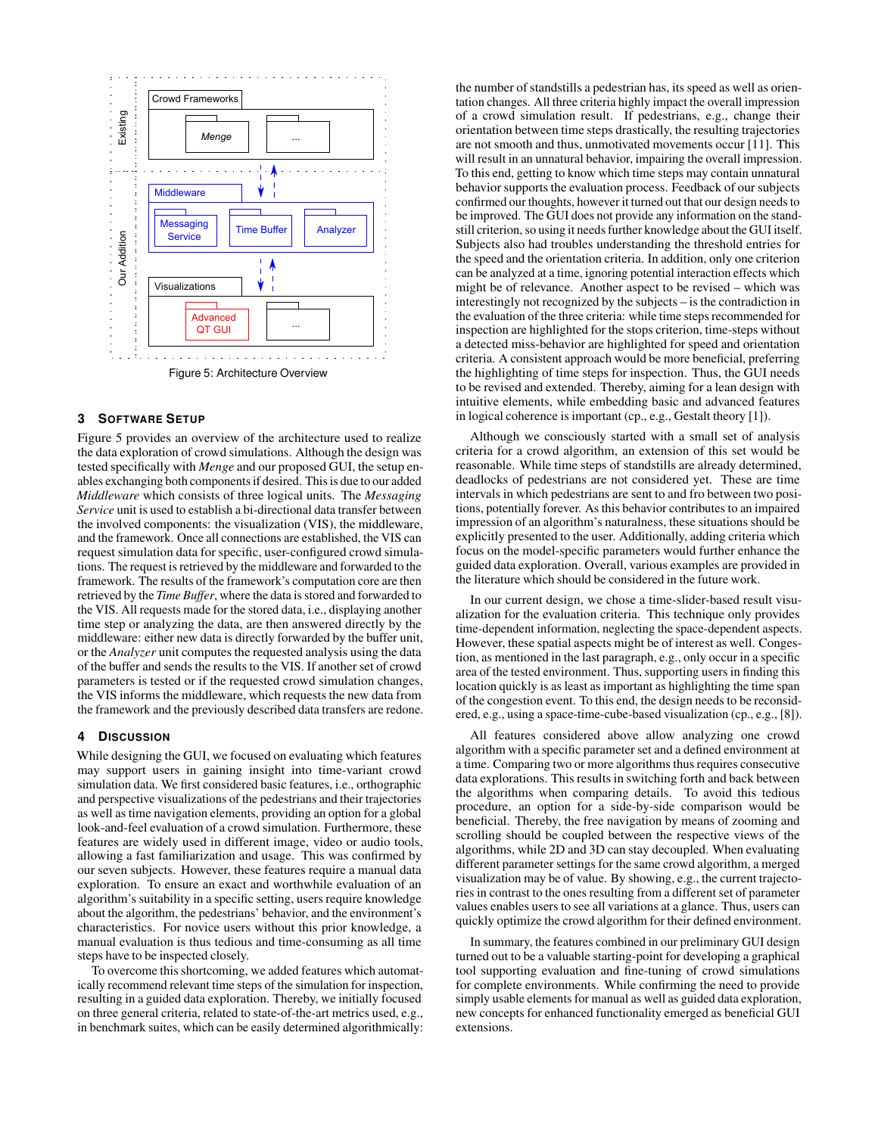

## <span id="page-3-2"></span><span id="page-3-0"></span>**3 SOFTWARE SETUP**

Figure [5](#page-3-2) provides an overview of the architecture used to realize the data exploration of crowd simulations. Although the design was tested specifically with *Menge* and our proposed GUI, the setup enables exchanging both components if desired. This is due to our added *Middleware* which consists of three logical units. The *Messaging Service* unit is used to establish a bi-directional data transfer between the involved components: the visualization (VIS), the middleware, and the framework. Once all connections are established, the VIS can request simulation data for specific, user-configured crowd simulations. The request is retrieved by the middleware and forwarded to the framework. The results of the framework's computation core are then retrieved by the *Time Buffer*, where the data is stored and forwarded to the VIS. All requests made for the stored data, i.e., displaying another time step or analyzing the data, are then answered directly by the middleware: either new data is directly forwarded by the buffer unit, or the *Analyzer* unit computes the requested analysis using the data of the buffer and sends the results to the VIS. If another set of crowd parameters is tested or if the requested crowd simulation changes, the VIS informs the middleware, which requests the new data from the framework and the previously described data transfers are redone.

#### <span id="page-3-1"></span>**4 DISCUSSION**

While designing the GUI, we focused on evaluating which features may support users in gaining insight into time-variant crowd simulation data. We first considered basic features, i.e., orthographic and perspective visualizations of the pedestrians and their trajectories as well as time navigation elements, providing an option for a global look-and-feel evaluation of a crowd simulation. Furthermore, these features are widely used in different image, video or audio tools, allowing a fast familiarization and usage. This was confirmed by our seven subjects. However, these features require a manual data exploration. To ensure an exact and worthwhile evaluation of an algorithm's suitability in a specific setting, users require knowledge about the algorithm, the pedestrians' behavior, and the environment's characteristics. For novice users without this prior knowledge, a manual evaluation is thus tedious and time-consuming as all time steps have to be inspected closely.

To overcome this shortcoming, we added features which automatically recommend relevant time steps of the simulation for inspection, resulting in a guided data exploration. Thereby, we initially focused on three general criteria, related to state-of-the-art metrics used, e.g., in benchmark suites, which can be easily determined algorithmically: the number of standstills a pedestrian has, its speed as well as orientation changes. All three criteria highly impact the overall impression of a crowd simulation result. If pedestrians, e.g., change their orientation between time steps drastically, the resulting trajectories are not smooth and thus, unmotivated movements occur [\[11\]](#page-4-2). This will result in an unnatural behavior, impairing the overall impression. To this end, getting to know which time steps may contain unnatural behavior supports the evaluation process. Feedback of our subjects confirmed our thoughts, however it turned out that our design needs to be improved. The GUI does not provide any information on the standstill criterion, so using it needs further knowledge about the GUI itself. Subjects also had troubles understanding the threshold entries for the speed and the orientation criteria. In addition, only one criterion can be analyzed at a time, ignoring potential interaction effects which might be of relevance. Another aspect to be revised – which was interestingly not recognized by the subjects – is the contradiction in the evaluation of the three criteria: while time steps recommended for inspection are highlighted for the stops criterion, time-steps without a detected miss-behavior are highlighted for speed and orientation criteria. A consistent approach would be more beneficial, preferring the highlighting of time steps for inspection. Thus, the GUI needs to be revised and extended. Thereby, aiming for a lean design with intuitive elements, while embedding basic and advanced features in logical coherence is important (cp., e.g., Gestalt theory [\[1\]](#page-4-14)).

Although we consciously started with a small set of analysis criteria for a crowd algorithm, an extension of this set would be reasonable. While time steps of standstills are already determined, deadlocks of pedestrians are not considered yet. These are time intervals in which pedestrians are sent to and fro between two positions, potentially forever. As this behavior contributes to an impaired impression of an algorithm's naturalness, these situations should be explicitly presented to the user. Additionally, adding criteria which focus on the model-specific parameters would further enhance the guided data exploration. Overall, various examples are provided in the literature which should be considered in the future work.

In our current design, we chose a time-slider-based result visualization for the evaluation criteria. This technique only provides time-dependent information, neglecting the space-dependent aspects. However, these spatial aspects might be of interest as well. Congestion, as mentioned in the last paragraph, e.g., only occur in a specific area of the tested environment. Thus, supporting users in finding this location quickly is as least as important as highlighting the time span of the congestion event. To this end, the design needs to be reconsidered, e.g., using a space-time-cube-based visualization (cp., e.g., [\[8\]](#page-4-15)).

All features considered above allow analyzing one crowd algorithm with a specific parameter set and a defined environment at a time. Comparing two or more algorithms thus requires consecutive data explorations. This results in switching forth and back between the algorithms when comparing details. To avoid this tedious procedure, an option for a side-by-side comparison would be beneficial. Thereby, the free navigation by means of zooming and scrolling should be coupled between the respective views of the algorithms, while 2D and 3D can stay decoupled. When evaluating different parameter settings for the same crowd algorithm, a merged visualization may be of value. By showing, e.g., the current trajectories in contrast to the ones resulting from a different set of parameter values enables users to see all variations at a glance. Thus, users can quickly optimize the crowd algorithm for their defined environment.

In summary, the features combined in our preliminary GUI design turned out to be a valuable starting-point for developing a graphical tool supporting evaluation and fine-tuning of crowd simulations for complete environments. While confirming the need to provide simply usable elements for manual as well as guided data exploration, new concepts for enhanced functionality emerged as beneficial GUI extensions.